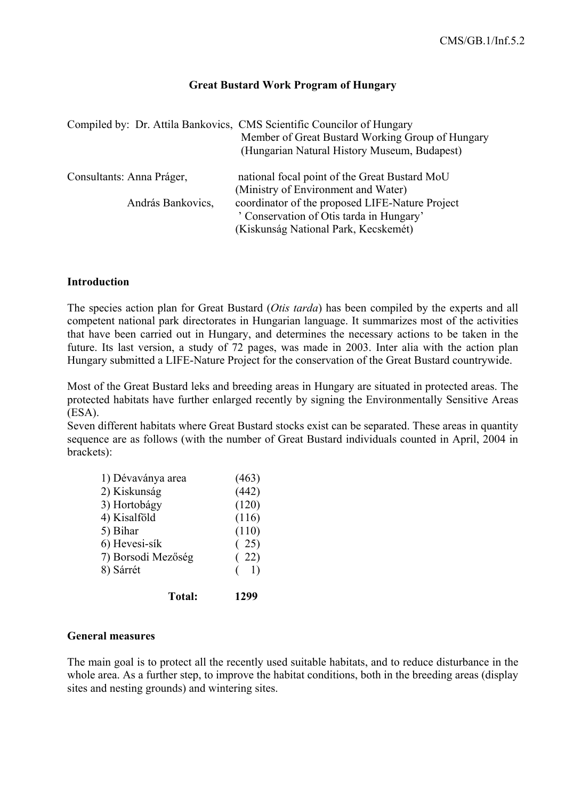## **Great Bustard Work Program of Hungary**

|                           | Compiled by: Dr. Attila Bankovics, CMS Scientific Councilor of Hungary<br>Member of Great Bustard Working Group of Hungary<br>(Hungarian Natural History Museum, Budapest) |
|---------------------------|----------------------------------------------------------------------------------------------------------------------------------------------------------------------------|
| Consultants: Anna Práger, | national focal point of the Great Bustard MoU<br>(Ministry of Environment and Water)                                                                                       |
| András Bankovics,         | coordinator of the proposed LIFE-Nature Project<br>' Conservation of Otis tarda in Hungary'<br>(Kiskunság National Park, Kecskemét)                                        |

## **Introduction**

The species action plan for Great Bustard (*Otis tarda*) has been compiled by the experts and all competent national park directorates in Hungarian language. It summarizes most of the activities that have been carried out in Hungary, and determines the necessary actions to be taken in the future. Its last version, a study of 72 pages, was made in 2003. Inter alia with the action plan Hungary submitted a LIFE-Nature Project for the conservation of the Great Bustard countrywide.

Most of the Great Bustard leks and breeding areas in Hungary are situated in protected areas. The protected habitats have further enlarged recently by signing the Environmentally Sensitive Areas (ESA).

Seven different habitats where Great Bustard stocks exist can be separated. These areas in quantity sequence are as follows (with the number of Great Bustard individuals counted in April, 2004 in brackets):

| 1) Dévaványa area  | (463) |
|--------------------|-------|
| 2) Kiskunság       | (442) |
| 3) Hortobágy       | (120) |
| 4) Kisalföld       | (116) |
| 5) Bihar           | (110) |
| 6) Hevesi-sík      | (25)  |
| 7) Borsodi Mezőség | (22)  |
| 8) Sárrét          | 1)    |
| <b>Total:</b>      | 1299  |

#### **General measures**

The main goal is to protect all the recently used suitable habitats, and to reduce disturbance in the whole area. As a further step, to improve the habitat conditions, both in the breeding areas (display sites and nesting grounds) and wintering sites.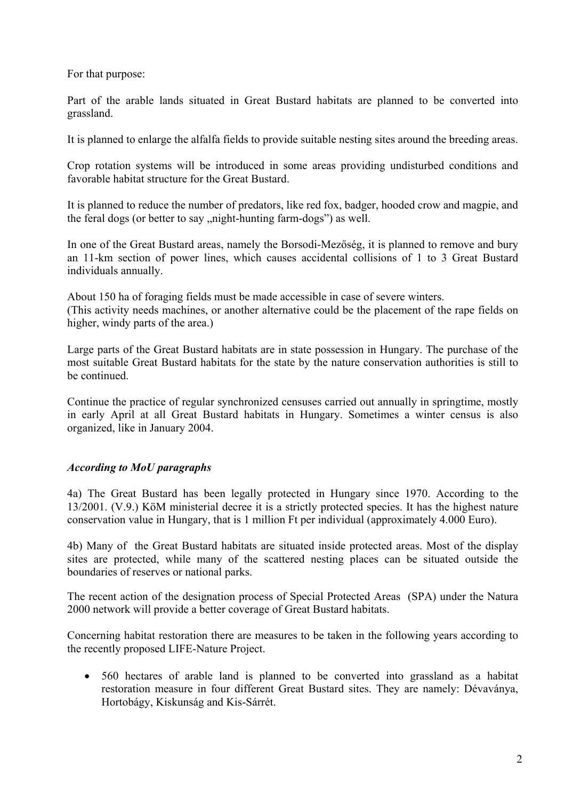For that purpose:

Part of the arable lands situated in Great Bustard habitats are planned to be converted into grassland.

It is planned to enlarge the alfalfa fields to provide suitable nesting sites around the breeding areas.

Crop rotation systems will be introduced in some areas providing undisturbed conditions and favorable habitat structure for the Great Bustard.

It is planned to reduce the number of predators, like red fox, badger, hooded crow and magpie, and the feral dogs (or better to say "night-hunting farm-dogs") as well.

In one of the Great Bustard areas, namely the Borsodi-Mezőség, it is planned to remove and bury an 11-km section of power lines, which causes accidental collisions of 1 to 3 Great Bustard individuals annually.

About 150 ha of foraging fields must be made accessible in case of severe winters. (This activity needs machines, or another alternative could be the placement of the rape fields on higher, windy parts of the area.)

Large parts of the Great Bustard habitats are in state possession in Hungary. The purchase of the most suitable Great Bustard habitats for the state by the nature conservation authorities is still to be continued.

Continue the practice of regular synchronized censuses carried out annually in springtime, mostly in early April at all Great Bustard habitats in Hungary. Sometimes a winter census is also organized, like in January 2004.

# *According to MoU paragraphs*

4a) The Great Bustard has been legally protected in Hungary since 1970. According to the 13/2001. (V.9.) KöM ministerial decree it is a strictly protected species. It has the highest nature conservation value in Hungary, that is 1 million Ft per individual (approximately 4.000 Euro).

4b) Many of the Great Bustard habitats are situated inside protected areas. Most of the display sites are protected, while many of the scattered nesting places can be situated outside the boundaries of reserves or national parks.

The recent action of the designation process of Special Protected Areas (SPA) under the Natura 2000 network will provide a better coverage of Great Bustard habitats.

Concerning habitat restoration there are measures to be taken in the following years according to the recently proposed LIFE-Nature Project.

• 560 hectares of arable land is planned to be converted into grassland as a habitat restoration measure in four different Great Bustard sites. They are namely: Dévaványa, Hortobágy, Kiskunság and Kis-Sárrét.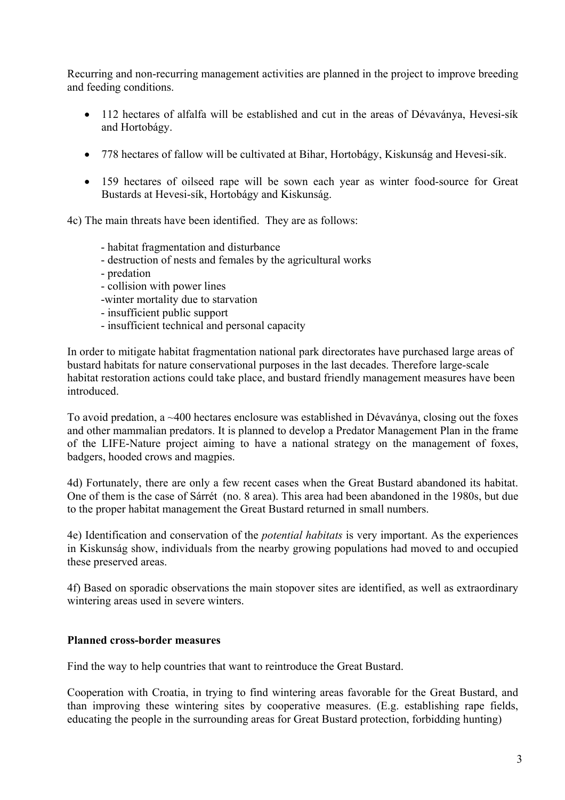Recurring and non-recurring management activities are planned in the project to improve breeding and feeding conditions.

- 112 hectares of alfalfa will be established and cut in the areas of Dévaványa, Hevesi-sík and Hortobágy.
- 778 hectares of fallow will be cultivated at Bihar, Hortobágy, Kiskunság and Hevesi-sík.
- 159 hectares of oilseed rape will be sown each year as winter food-source for Great Bustards at Hevesi-sík, Hortobágy and Kiskunság.

4c) The main threats have been identified. They are as follows:

- habitat fragmentation and disturbance
- destruction of nests and females by the agricultural works
- predation
- collision with power lines
- -winter mortality due to starvation
- insufficient public support
- insufficient technical and personal capacity

In order to mitigate habitat fragmentation national park directorates have purchased large areas of bustard habitats for nature conservational purposes in the last decades. Therefore large-scale habitat restoration actions could take place, and bustard friendly management measures have been introduced.

To avoid predation, a ~400 hectares enclosure was established in Dévaványa, closing out the foxes and other mammalian predators. It is planned to develop a Predator Management Plan in the frame of the LIFE-Nature project aiming to have a national strategy on the management of foxes, badgers, hooded crows and magpies.

4d) Fortunately, there are only a few recent cases when the Great Bustard abandoned its habitat. One of them is the case of Sárrét (no. 8 area). This area had been abandoned in the 1980s, but due to the proper habitat management the Great Bustard returned in small numbers.

4e) Identification and conservation of the *potential habitats* is very important. As the experiences in Kiskunság show, individuals from the nearby growing populations had moved to and occupied these preserved areas.

4f) Based on sporadic observations the main stopover sites are identified, as well as extraordinary wintering areas used in severe winters.

## **Planned cross-border measures**

Find the way to help countries that want to reintroduce the Great Bustard.

Cooperation with Croatia, in trying to find wintering areas favorable for the Great Bustard, and than improving these wintering sites by cooperative measures. (E.g. establishing rape fields, educating the people in the surrounding areas for Great Bustard protection, forbidding hunting)